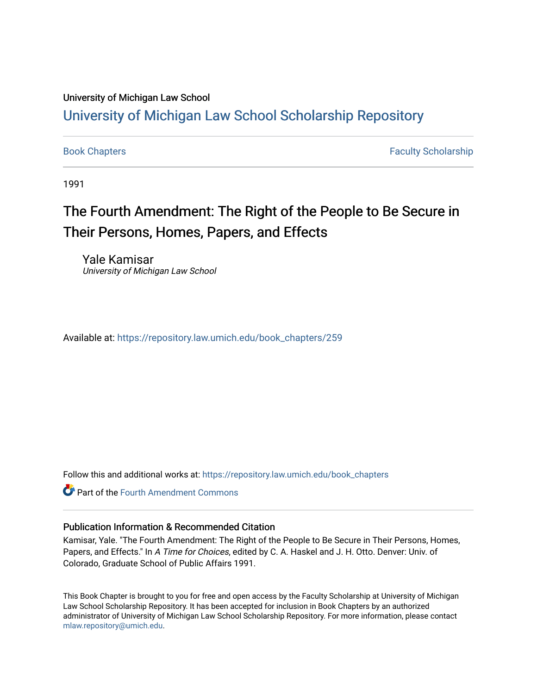### University of Michigan Law School

## [University of Michigan Law School Scholarship Repository](https://repository.law.umich.edu/)

[Book Chapters](https://repository.law.umich.edu/book_chapters) Faculty Scholarship

1991

# The Fourth Amendment: The Right of the People to Be Secure in Their Persons, Homes, Papers, and Effects

Yale Kamisar University of Michigan Law School

Available at: [https://repository.law.umich.edu/book\\_chapters/259](https://repository.law.umich.edu/book_chapters/259) 

Follow this and additional works at: [https://repository.law.umich.edu/book\\_chapters](https://repository.law.umich.edu/book_chapters?utm_source=repository.law.umich.edu%2Fbook_chapters%2F259&utm_medium=PDF&utm_campaign=PDFCoverPages)

**C** Part of the Fourth Amendment Commons

#### Publication Information & Recommended Citation

Kamisar, Yale. "The Fourth Amendment: The Right of the People to Be Secure in Their Persons, Homes, Papers, and Effects." In A Time for Choices, edited by C. A. Haskel and J. H. Otto. Denver: Univ. of Colorado, Graduate School of Public Affairs 1991.

This Book Chapter is brought to you for free and open access by the Faculty Scholarship at University of Michigan Law School Scholarship Repository. It has been accepted for inclusion in Book Chapters by an authorized administrator of University of Michigan Law School Scholarship Repository. For more information, please contact [mlaw.repository@umich.edu.](mailto:mlaw.repository@umich.edu)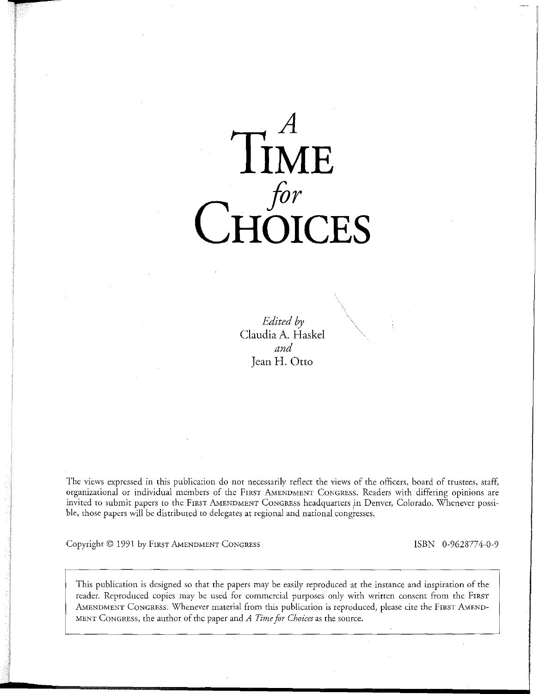

*Edited by*  Claudia A. Haskel *and*  Jean H. Otto

The views expressed in this publicacion do not necessarily reflect the views of the officers, board of trustees, staff, organizational or individual members of the FIRST AMENDMENT CONGRESS. Readers with differing opinions are invited to submit papers to the FIRST AMENDMENT CONGRESS headquarters ln Denver) Colorado. Whenever possible, those papers will be distributed to delegates at regional and national congresses.

Copyright © 1991 by FIRST AMENDMENT CONGRESS ISBN 0-9628774-0-9

This publication is designed so that the papers may be easily reproduced at the instance and inspiration of the reader. Reproduced copies may be used for commercial purposes only with written consent from the FIRST AMENDMENT CONGRESS. Whenever material from this publication is reproduced, please cite the FIRST AMEND-MENT CONGRESS, the author of the paper and *A Time for Choices* as the source.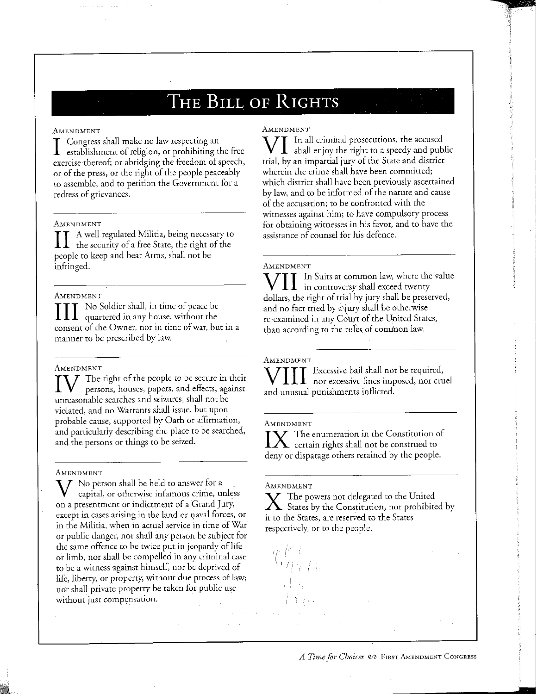# **THE BILL OF RIGHTS**

#### AMENDMENT

I Congress shall make no law respecting an<br>establishment of religion, or prohibiting the free exercise thereof; or abridging the freedom of speech, or of the press, or the right of the people peaceably to assemble, and to petition the Government for a redress of grievances.

#### AMENDMENT

II A well regulated Militia, being necessary to<br>the security of a free State, the right of the people to keep and bear Arms, shall not be infringed.

#### AMENDMENT

III No Soldier shall, in time of peace be<br>quartered in any house, without the consent of the Owner, nor in time of war, but in a manner to be prescribed by law.

AMENDMENT<br>  $\prod_{\text{persons, houses, papers, and effects, against}}$ unreasonable searches and seizures, shall not be violated, and no Warrants shall issue, but upon probable cause, supported by Oath or affirmation, and particularly describing the place to be searched, and the persons or things to be seized.

#### AMENDMENT

 $\rm V$  No person shall be held to answer for a capital, or otherwise infamous crime, unless on a presentment or indictment of a Grand Jury, except in cases arising in the land or qaval forces, or in rhe Militia, when in actual service in time of War or public danger, nor shall any person be subject for the same offence to be twice put in jeopardy of life or limb, nor shall be compelled in any criminal case to be a witness against himself, nor be deprived of life, liberty, or property, without due process of law; nor shall private property be taken for public use without just compensation.

#### **AMENDMENT**

**VI** In all criminal prosecutions, the accused shall enjoy the right to a speedy and public trial, by an impartial jury of the State and district wherein the crime shall have been committed; which district shall have been previously ascertained by law, and to be informed of the nature and cause of the accusation; to be confronted with the witnesses against him; to have compulsory process for obtaining witnesses in his favor, and to have the assistance of counsel for his defence.

#### AMENDMENT

WII In Suits at common law, where the value<br>in controversy shall exceed twenty dollars, the right of trial by jury shall be preserved, and no fact tried by a jury shall be otherwise re-examined in any Court of the United States, than according to the rules of common law.

**AMENDMENT** 

WIII Excessive bail shall not be required,<br>nor excessive fines imposed, nor cruel and unusual punishments inflicted.

#### AMENDMENT

 $\boldsymbol{Y}$  The enumeration in the Constitution of  $\Delta$  certain rights shall not be construed to deny or disparage others retained by the people.

#### AMENDMENT

 $\boldsymbol{\nabla}$  The powers not delegated to the United States by the Constitution, nor prohibited by it to the States, are reserved to the States respectively, or to the people.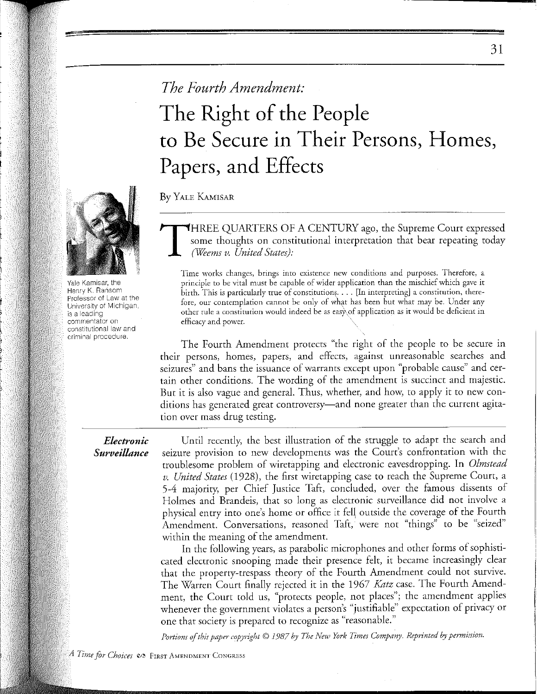# *The Fourth Amendment:*  The Right of the People to Be Secure in Their Persons, Homes, Papers, and Effects

By YALE KAMISAR

T HREE QUARTERS OF A CENTURY ago, the Supreme Court expressed some thoughts on constitutional interpretation that bear repeating today *(Weems v. United States):* 

Time works changes, brings into existence new conditions and purposes. Therefore, a principle to be vital must be capable of wider application than the mischief which gave it  $\hat{\text{birth}}$ . This is particularly true of constitutions. . . . [In interpreting] a constitution, therefore, our contemplation cannot be only of what has been but what may be. Under any other rule a constitution would indeed be as eas}\of application as it would be deficient in efficacy and power.

The Fourth Amendment protects "the right of the people to be secure in their persons, homes, papers, and effects, against unreasonable searches and seizures" and bans the issuance of warrants except upon "probable cause" and certain other conditions. The wording of the amendment is succinct and majestic. But it is also vague and general. Thus, whether, and how, to apply it to new conditions has generated great controversy—and none greater than the current agitation over mass drug testing.

### *Electronic Surveillance*

Until recently, the best illustration of the struggle to adapt the search and seizure provision to new developments was the Court's confrontation with the troublesome problem of wiretapping and electronic eavesdropping. In *Olmstead v. United States* ( 1928), the first wiretapping case to reach the Supreme Court, a 5-4 majority, per Chief Justice Taft, concluded, over the famous dissents of Holmes and Brandeis, that so long as electronic surveillance did not involve a physical entry into one's home or office it fell outside the coverage of the Fourth Amendment. Conversations, reasoned Taft, were not "things" to be "seized" within the meaning of the amendment.

In the following years, as parabolic microphones and other forms of sophisticated electronic snooping made their presence felt, it became increasingly clear that the property-trespass theory of the Fourth Amendment could not survive. The Warren Court finally rejected it in the 1967 *Katz* case. The Fourth Amendment, the Court told us, "protects people, not places"; the amendment applies whenever the government violates a person's "justifiable" expectation of privacy or one that society is prepared to recognize as "reasonable."

*Portions of this paper copyright© 1987 by The New York Times Company. Reprinted by permiision.* 



Yale Kamisar, the Henry K. Ransom Professor ot Law at the University of Michigan, is a leading commentator on constitutional law and criminal procedure.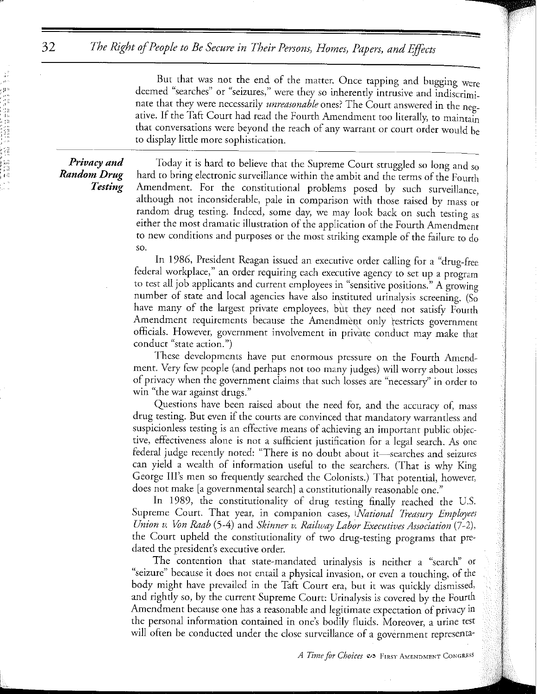*The Right of People to Be Secure in Their Persons, Homes, Papers, and Effects* 

But that was not the end of the matter. Once tapping and bugging were deemed "searches" or "seizures," were they so inherently intrusive and indiscriminate that they were necessarily *unreasonable* ones? The Court answered in the negative. If the Taft Court had read the Fourth Amendment too literally, to maintain that conversations were beyond the reach of any warrant or court order would be to display little more sophistication.

*Privacy and Random Drug Testing* 

32

: :11 '1,,

> Today it is hard to believe that the Supreme Court struggled so long and so hard to bring electronic surveillance within the ambit and the terms of the Fourth Amendment. For the constitutional problems posed by such surveillance, although not inconsiderable, pale in comparison with those raised by mass or random drug testing. Indeed, some day, we may look back on such testing as either the most dramatic illustration of the application of the Fourth Amendment to new conditions and purposes or the most striking example of the failure to do so.

> In 1986, President Reagan issued an execurive order calling for a "drug-free federal workplace," an order requiring each executive agency to set up a program to test all job applicants and current employees in "sensitive positions." A growing number of state and local agencies have also instituted urinalysis screening. (So have many of the largest private employees, but they need not satisfy Fourth Amendment requirements because the Amendmeqt only restricts government officials. However, government involvement in private conduct may make that **conduct "state action.")**

> These developments have put enormous pressure on the Fourth Amendment. Very few people (and perhaps not too many judges) will worry about losses of privacy when the government claims that such losses are "necessary'' in order to win "the war against drugs."

> Questions have been raised about the need for, and the accuracy of, mass drug testing. But even if the courts are convinced that mandatory warrantless and suspicionless testing *is* an effective means of achieving an important public objective, effectiveness alone is not a sufficient justification for a legal search. *As* one federal judge recently noted: "There is no doubt about it-searches and seizures can yield a wealth of information useful to the searchers. (That is why King George Ill's men so frequently searched the Colonists.) That potential, however, does not make [a governmental search] a constitutionally reasonable one."

> In 1989, the constirutionality of drug testing finally reached the U.S. Supreme Court. That year, in companion cases, *National Treasury Employees Union v. Von Raab* (5-4) and *Skinner v. Railway Labor Executives Association* (7-2), the Court upheld the constitutionality of two drug-testing programs that predated the president's executive order.

> The contention that state-mandated urinalysis is neither a "search" or "seizure" because it does not entail a physical invasion, or even a touching, of the body might have prevailed in the Taft Court era, but it was quickly dismissed, and rightly so, by the current Supreme Court: Urinalysis is covered by the Fourth Amendment because one has a reasonable and legitimate expectation of privacy in the personal information contained in one's bodily fluids. Moreover, a urine test will often be conducted under the close surveillance of a government representa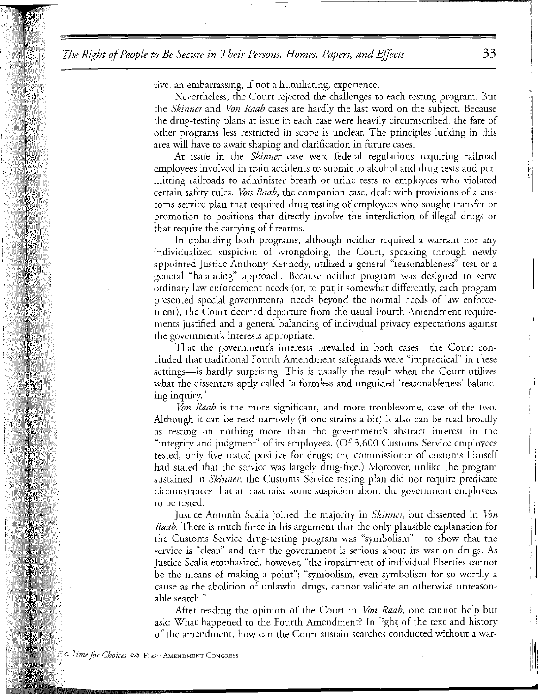*The Right of People to Be Secure in Their Persons, Homes, Papers, and Effects* 33

rive, an embarrassing, if not a humiliating, experience.

Nevertheless, the Court rejected the challenges to each testing program. But the *Skinner* and *Von Raab* cases are hardly the last word on the subject. Because the drug-testing plans at issue in each case were heavily circumscribed, rhe fate of other programs less restricted in scope is unclear. The principles lurking in this area will have to await shaping and clarification in future cases.

At issue in the *Skinner* case were federal regulations requiring railroad employees involved in train accidents to submit to alcohol and drug tests and permitring railroads to administer breath or urine tests to employees who violated certain safety rules. *Von Raab,* the companion case, dealt with provisions of a customs service plan that required drug testing of employees who sought transfer or promotion to positions that directly involve the interdiction of illegal drugs or that require the carrying of firearms.

In upholding both programs, although neither required a warrant nor any individualized suspicion of wrongdoing, the Court, speaking through newly appointed Justice Anthony Kennedy, utilized a general "reasonableness" test or a general "balancing" approach. Because neither program was designed to serve ordinary law enforcement needs (or, to put it somewhat differently, each program presented special governmental needs beyond the normal needs of law enforcement), the Court deemed departure from the usual Fourth Amendment requirements justified and a general balancing of individual privacy expectations against the government's interests appropriate.

That the government's interests prevailed in both cases—the Court concluded that traditional Fourth Amendment safeguards were "impractical" in these settings—is hardly surprising. This is usually the result when the Court utilizes what the dissenters aptly called "a formless and unguided 'reasonableness' balancing inquiry."

*Von Raab* is the more significant, and more troublesome, case of the two. Although it can be read narrowly (if one strains a bit) it also can be read broadly as resting on nothing more than the government's abstract interest in the "integrity and judgment" of its employees. (Of 3,600 Customs Service employees tested, only five tested positive for drugs; the commissioner of customs himself had stated that the service was largely drug-free.) Moreover, unlike the program sustained in *Skinner,* the Customs Service testing plan did not require predicate circumstances that at least raise some suspicion about the government employees to be tested.

Justice Antonin Scalia joined the majority <sup>1</sup>in *Skinner,* but dissented in *Von Raab.* There is much force in his argument that the only plausible explanation for the Customs Service drug-testing program was "symbolism"—to show that the service is "clean" and that the government is serious about its war on drugs. As Justice Scalia emphasized, however, "the impairment of individual liberties cannot be the means of making a point"; "symbolism, even symbolism for so worthy a cause as the abolition of unlawful drugs, cannot validate an otherwise unreasonable search."

After reading the opinion of the Court in *Von Raab,* one cannot help but ask: What happened to the Fourth Amendment? In light of the text and history of the amendment, how can the Court sustain searches conducted without a war-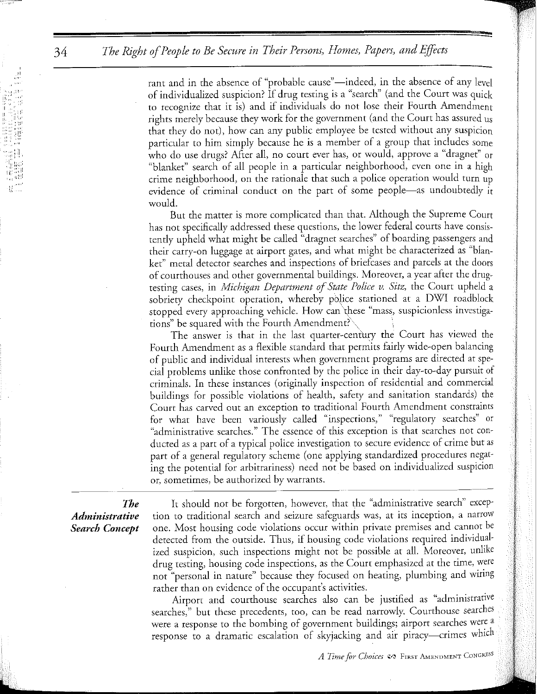rant and in the absence of "probable cause"—indeed, in the absence of any level of individualized suspicion? If drug testing is a "search" (and the Court was quick to recognize that it is) and if individuals do not lose their Fourth Amendment rights merely because they work for the government (and the Court has assured us that they do not), how can any public employee be tested without any suspicion particular to him simply because he is a member of a group that includes some who do use drugs? After all, no court ever has, or would, approve a "dragnet" or "blanket" search of all people in a particular neighborhood, even one in a high crime neighborhood, on the rationale that such a police operation would turn up evidence of criminal conduct on the part of some people—as undoubtedly  $\hat{i}$ t would.

But the matter is more complicated than that. Although the Supreme Court has not specifically addressed these questions, the lower federal courts have consistently upheld what might be called "dragnet searches" of boarding passengers and their carry-on luggage at airport gates, and what might be characterized as "blanket" metal detector searches and inspections of briefcases and parcels at the doors of courthouses and other governmental buildings. Moreover, a year after the drugtesting cases, in *Michigan Department of State Police v. Sitz,* the Court upheld a sobriety checkpoint operation, whereby police stationed at a DWI roadblock stopped every approaching vehicle. How can \hese "mass, suspicionless investigations" be squared with the Fourth Amendment?

The answer is that in the last quarter-century the Court has viewed the Fourth Amendment as a flexible standard that permits fairly wide-open balancing of public and individual interests when government programs are directed at special problems unlike those confronted by the police in their day-to-day pursuit of criminals. In these instances ( originally inspection of residential and commercial buildings for possible violations of health, safety and sanitation standards) the Court has carved out an exception to traditional Fourth Amendment constraints for what have been variously called "inspections," "regulatory searches" or "administrative searches." The essence of this exception is that searches not conducted as a part of a typical police investigation to secure evidence of crime but as part of a general regulatory scheme (one applying standardized procedures negating the potential for arbitrariness) need not be based on individualized suspicion or, sometimes, be authorized by warrants.

## *The Administrative Search Concept*

It should not be forgotten, however, that the "administrative search" exception to traditional search and seizure safeguards was, at its inception, a narrow one. Most housing code violations occur within private premises and cannot be detected from the outside. Thus, if housing code violations required individualized suspicion, such inspections might not be possible at all. Moreover, unlike drug testing, housing code inspections, as the Court emphasized at the time, were not "personal in nature" because they focused on heating, plumbing and wiring rather than on evidence of the occupant's activities.

Airport and courthouse searches also can be justified as "administrative searches," but these precedents, too, can be read narrowly. Courthouse searches were a response to the bombing of government buildings; airport searches were a response to a dramatic escalation of skyjacking and air piracy-crimes which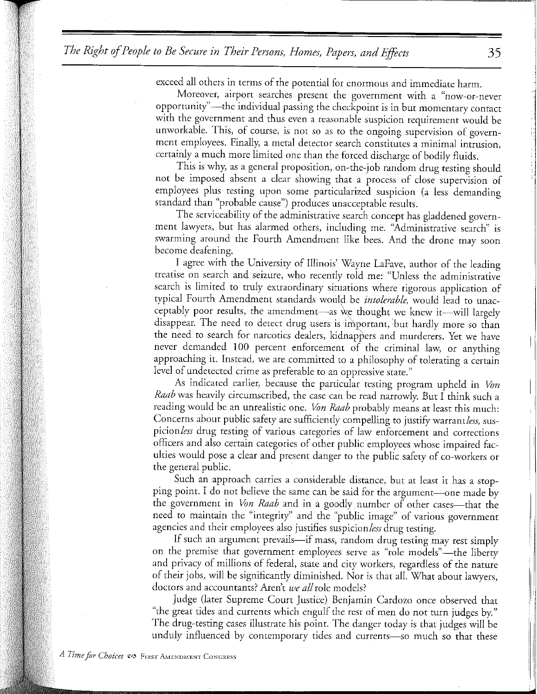exceed all others in terms of the potential for enormous and immediate harm.

Moreover, airport searches present the government with a "now-or-never opportunity"-the individual passing the checkpoint is in but momentary contact with the government and thus even a reasonable suspicion requirement would be unworkable. This, of course, is not so as to the ongoing supervision of government employees. Finally, a metal detector search constitutes a minimal intrusion, certainly a much more limited one than the forced discharge of bodily fluids.

This is why, as a general proposition, on-the-job random drug testing should not be imposed absent a clear showing that a process of close supervision of employees plus testing upon some particularized suspicion (a less demanding standard than "probable cause") produces unacceptable results.

The serviceability of the administrative search concept has gladdened government lawyers, but has alarmed others, including me. "Administrative search" is swarming around the Fourth Amendment like bees. And the drone may soon become deafening.

I agree with the University of Illinois' Wayne Lafave, author of the leading treatise on search and seizure, who recently told me: "Unless the administrative search is limited to truly extraordinary situations where rigorous application of typical Fourth Amendment standards would be *intolerable*, would lead to unacceptably poor results, the amendment-as we thought we knew it-will largely disappear. The need to detect drug users is important, but hardly more so than the need to search for narcotics dealers, kidnappers and murderers. Yet we have never demanded 100 percent enforcement of the criminal law, or anything approaching it. Instead, we are committed to a philosophy of tolerating a certain level of undetected crime as preferable to an oppressive state."

As indicated earlier, because the particular testing program upheld in *Von Raab* was heavily circumscribed, the case can be read narrowly. But I think such a reading would be an unrealistic one. *Von Raab* probably means at least this much: Concerns about public safety are sufficiently compelling to justify warrantless, suspicion *less* drug testing of various categories of law enforcement and corrections officers and also certain categories of other public employees whose impaired faculties would pose a clear and present danger to the public safety of co-workers or the general public.

Such an approach carries a considerable distance, but at least it has a stopping point. I do not believe the same can be said for the argument-one made by the government in *Von Raab* and in a goodly number of other cases-that the need to maintain the "integrity'' and the "public image" of various government agencies and their employees also justifies suspicion *less* drug testing.

If such an argument prevails—if mass, random drug testing may rest simply on the premise that government employees serve as "role models"—the liberty and privacy of millions of federal, state and city workers, regardless of the nature of their jobs, will be significantly diminished. Nor is that all. What about lawyers, doctors and accountants? Aren't *we all* role models?

Judge (later Supreme Court Justice) Benjamin Cardozo once observed that "the great tides and currents which engulf the rest of men do not turn judges by." The drug-testing cases illustrate his point. The danger today is that judges will be unduly influenced by contemporary tides and currents-so much so that these

 $\overline{\phantom{a}}$ 

I